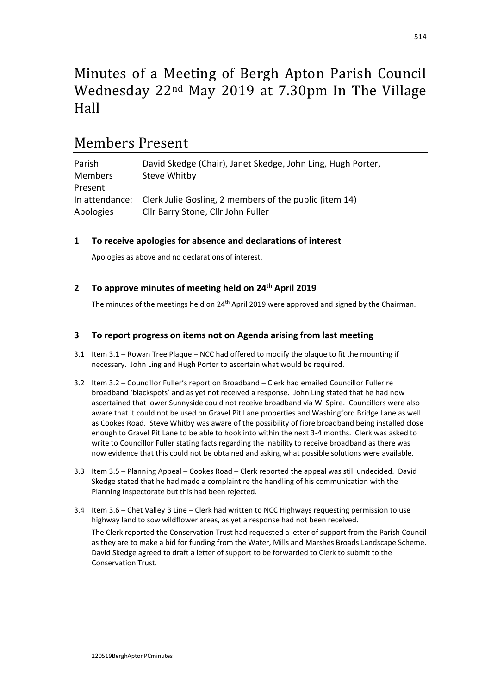# Minutes of a Meeting of Bergh Apton Parish Council Wednesday 22nd May 2019 at 7.30pm In The Village Hall

## Members Present

| Parish         | David Skedge (Chair), Janet Skedge, John Ling, Hugh Porter,           |
|----------------|-----------------------------------------------------------------------|
| <b>Members</b> | Steve Whitby                                                          |
| Present        |                                                                       |
|                | In attendance: Clerk Julie Gosling, 2 members of the public (item 14) |
| Apologies      | Cllr Barry Stone, Cllr John Fuller                                    |

## **1 To receive apologies for absence and declarations of interest**

Apologies as above and no declarations of interest.

## **2 To approve minutes of meeting held on 24 th April 2019**

The minutes of the meetings held on 24<sup>th</sup> April 2019 were approved and signed by the Chairman.

## **3 To report progress on items not on Agenda arising from last meeting**

- 3.1 Item 3.1 Rowan Tree Plaque NCC had offered to modify the plaque to fit the mounting if necessary. John Ling and Hugh Porter to ascertain what would be required.
- 3.2 Item 3.2 Councillor Fuller's report on Broadband Clerk had emailed Councillor Fuller re broadband 'blackspots' and as yet not received a response. John Ling stated that he had now ascertained that lower Sunnyside could not receive broadband via Wi Spire. Councillors were also aware that it could not be used on Gravel Pit Lane properties and Washingford Bridge Lane as well as Cookes Road. Steve Whitby was aware of the possibility of fibre broadband being installed close enough to Gravel Pit Lane to be able to hook into within the next 3-4 months. Clerk was asked to write to Councillor Fuller stating facts regarding the inability to receive broadband as there was now evidence that this could not be obtained and asking what possible solutions were available.
- 3.3 Item 3.5 Planning Appeal Cookes Road Clerk reported the appeal was still undecided. David Skedge stated that he had made a complaint re the handling of his communication with the Planning Inspectorate but this had been rejected.
- 3.4 Item 3.6 Chet Valley B Line Clerk had written to NCC Highways requesting permission to use highway land to sow wildflower areas, as yet a response had not been received. The Clerk reported the Conservation Trust had requested a letter of support from the Parish Council as they are to make a bid for funding from the Water, Mills and Marshes Broads Landscape Scheme. David Skedge agreed to draft a letter of support to be forwarded to Clerk to submit to the Conservation Trust.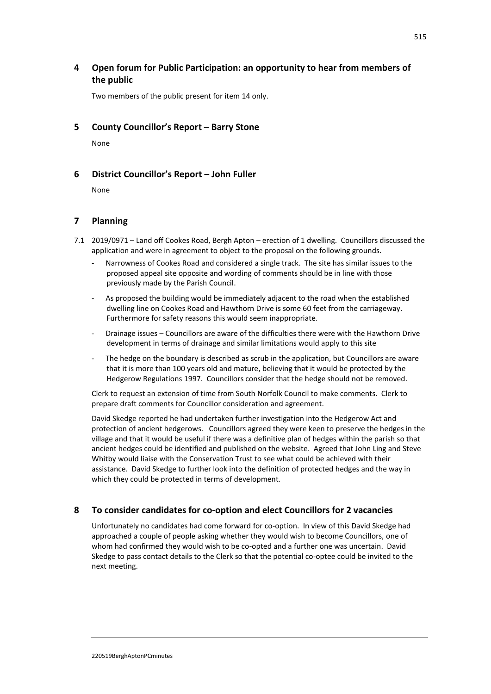## **4 Open forum for Public Participation: an opportunity to hear from members of the public**

Two members of the public present for item 14 only.

## **5 County Councillor's Report – Barry Stone**

None

## **6 District Councillor's Report – John Fuller**

None

## **7 Planning**

- 7.1 2019/0971 Land off Cookes Road, Bergh Apton erection of 1 dwelling. Councillors discussed the application and were in agreement to object to the proposal on the following grounds.
	- Narrowness of Cookes Road and considered a single track. The site has similar issues to the proposed appeal site opposite and wording of comments should be in line with those previously made by the Parish Council.
	- As proposed the building would be immediately adjacent to the road when the established dwelling line on Cookes Road and Hawthorn Drive is some 60 feet from the carriageway. Furthermore for safety reasons this would seem inappropriate.
	- Drainage issues Councillors are aware of the difficulties there were with the Hawthorn Drive development in terms of drainage and similar limitations would apply to this site
	- The hedge on the boundary is described as scrub in the application, but Councillors are aware that it is more than 100 years old and mature, believing that it would be protected by the Hedgerow Regulations 1997. Councillors consider that the hedge should not be removed.

Clerk to request an extension of time from South Norfolk Council to make comments. Clerk to prepare draft comments for Councillor consideration and agreement.

David Skedge reported he had undertaken further investigation into the Hedgerow Act and protection of ancient hedgerows. Councillors agreed they were keen to preserve the hedges in the village and that it would be useful if there was a definitive plan of hedges within the parish so that ancient hedges could be identified and published on the website. Agreed that John Ling and Steve Whitby would liaise with the Conservation Trust to see what could be achieved with their assistance. David Skedge to further look into the definition of protected hedges and the way in which they could be protected in terms of development.

#### **8 To consider candidates for co-option and elect Councillors for 2 vacancies**

Unfortunately no candidates had come forward for co-option. In view of this David Skedge had approached a couple of people asking whether they would wish to become Councillors, one of whom had confirmed they would wish to be co-opted and a further one was uncertain. David Skedge to pass contact details to the Clerk so that the potential co-optee could be invited to the next meeting.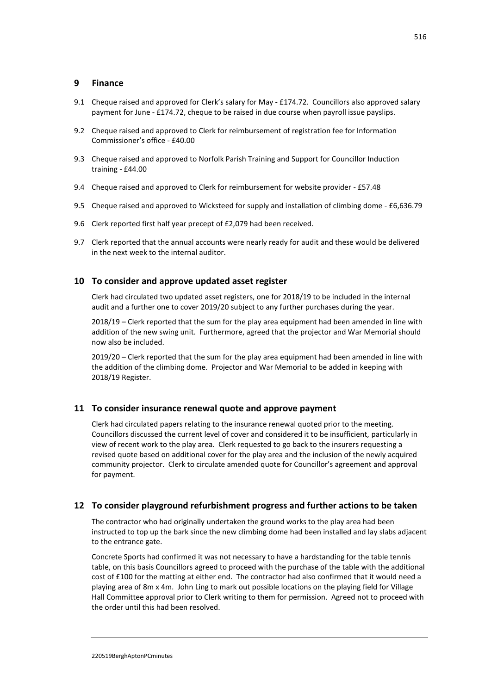#### **9 Finance**

- 9.1 Cheque raised and approved for Clerk's salary for May £174.72. Councillors also approved salary payment for June - £174.72, cheque to be raised in due course when payroll issue payslips.
- 9.2 Cheque raised and approved to Clerk for reimbursement of registration fee for Information Commissioner's office - £40.00
- 9.3 Cheque raised and approved to Norfolk Parish Training and Support for Councillor Induction training - £44.00
- 9.4 Cheque raised and approved to Clerk for reimbursement for website provider £57.48
- 9.5 Cheque raised and approved to Wicksteed for supply and installation of climbing dome £6,636.79
- 9.6 Clerk reported first half year precept of £2,079 had been received.
- 9.7 Clerk reported that the annual accounts were nearly ready for audit and these would be delivered in the next week to the internal auditor.

#### **10 To consider and approve updated asset register**

Clerk had circulated two updated asset registers, one for 2018/19 to be included in the internal audit and a further one to cover 2019/20 subject to any further purchases during the year.

2018/19 – Clerk reported that the sum for the play area equipment had been amended in line with addition of the new swing unit. Furthermore, agreed that the projector and War Memorial should now also be included.

2019/20 – Clerk reported that the sum for the play area equipment had been amended in line with the addition of the climbing dome. Projector and War Memorial to be added in keeping with 2018/19 Register.

#### **11 To consider insurance renewal quote and approve payment**

Clerk had circulated papers relating to the insurance renewal quoted prior to the meeting. Councillors discussed the current level of cover and considered it to be insufficient, particularly in view of recent work to the play area. Clerk requested to go back to the insurers requesting a revised quote based on additional cover for the play area and the inclusion of the newly acquired community projector. Clerk to circulate amended quote for Councillor's agreement and approval for payment.

#### **12 To consider playground refurbishment progress and further actions to be taken**

The contractor who had originally undertaken the ground works to the play area had been instructed to top up the bark since the new climbing dome had been installed and lay slabs adjacent to the entrance gate.

Concrete Sports had confirmed it was not necessary to have a hardstanding for the table tennis table, on this basis Councillors agreed to proceed with the purchase of the table with the additional cost of £100 for the matting at either end. The contractor had also confirmed that it would need a playing area of 8m x 4m. John Ling to mark out possible locations on the playing field for Village Hall Committee approval prior to Clerk writing to them for permission. Agreed not to proceed with the order until this had been resolved.